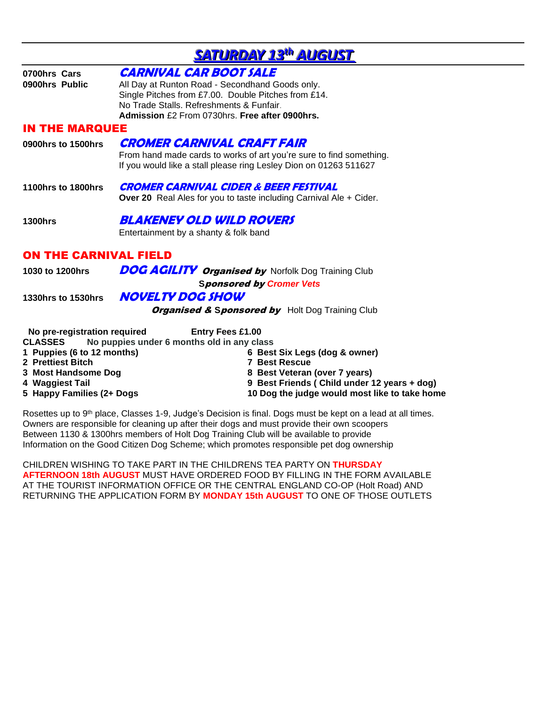| <b>SATURDAY 13th AUGUST</b>                                                                       |                                                                                                                                                                                                                                       |  |
|---------------------------------------------------------------------------------------------------|---------------------------------------------------------------------------------------------------------------------------------------------------------------------------------------------------------------------------------------|--|
| 0700hrs Cars<br>0900hrs Public                                                                    | <b>CARNIVAL CAR BOOT SALE</b><br>All Day at Runton Road - Secondhand Goods only.<br>Single Pitches from £7.00. Double Pitches from £14.<br>No Trade Stalls, Refreshments & Funfair.<br>Admission £2 From 0730hrs. Free after 0900hrs. |  |
| <b>IN THE MARQUEE</b>                                                                             |                                                                                                                                                                                                                                       |  |
| 0900hrs to 1500hrs                                                                                | <b>CROMER CARNIVAL CRAFT FAIR</b><br>From hand made cards to works of art you're sure to find something.<br>If you would like a stall please ring Lesley Dion on 01263 511627                                                         |  |
| <b>1100hrs to 1800hrs</b>                                                                         | <b>CROMER CARNIVAL CIDER &amp; BEER FESTIVAL</b><br><b>Over 20</b> Real Ales for you to taste including Carnival Ale $+$ Cider.                                                                                                       |  |
| <b>1300hrs</b>                                                                                    | BLAKENEY OLD WILD ROVERS<br>Entertainment by a shanty & folk band                                                                                                                                                                     |  |
| <b>ON THE CARNIVAL FIELD</b>                                                                      |                                                                                                                                                                                                                                       |  |
| 1030 to 1200hrs                                                                                   | <b>DOG AGILITY Organised by Norfolk Dog Training Club</b><br><b>Sponsored by Cromer Vets</b>                                                                                                                                          |  |
| 1330hrs to 1530hrs                                                                                | <b>NOVELTY DOG SHOW</b><br><b>Organised &amp; Sponsored by</b> Holt Dog Training Club                                                                                                                                                 |  |
| No pre-registration required<br><b>CLASSES</b><br>1 Puppies (6 to 12 months)<br>2 Prettiest Bitch | <b>Entry Fees £1.00</b><br>No puppies under 6 months old in any class<br>6 Best Six Legs (dog & owner)<br><b>7 Best Rescue</b>                                                                                                        |  |

- 
- 
- 
- 
- **3 Most Handsome Dog 8 Best Veteran (over 7 years) 4 Waggiest Tail 9 Best Friends ( Child under 12 years + dog)**
- **5 Happy Families (2+ Dogs 10 Dog the judge would most like to take home**

Rosettes up to 9<sup>th</sup> place, Classes 1-9, Judge's Decision is final. Dogs must be kept on a lead at all times. Owners are responsible for cleaning up after their dogs and must provide their own scoopers Between 1130 & 1300hrs members of Holt Dog Training Club will be available to provide Information on the Good Citizen Dog Scheme; which promotes responsible pet dog ownership

CHILDREN WISHING TO TAKE PART IN THE CHILDRENS TEA PARTY ON **THURSDAY AFTERNOON 18th AUGUST** MUST HAVE ORDERED FOOD BY FILLING IN THE FORM AVAILABLE AT THE TOURIST INFORMATION OFFICE OR THE CENTRAL ENGLAND CO-OP (Holt Road) AND RETURNING THE APPLICATION FORM BY **MONDAY 15th AUGUST** TO ONE OF THOSE OUTLETS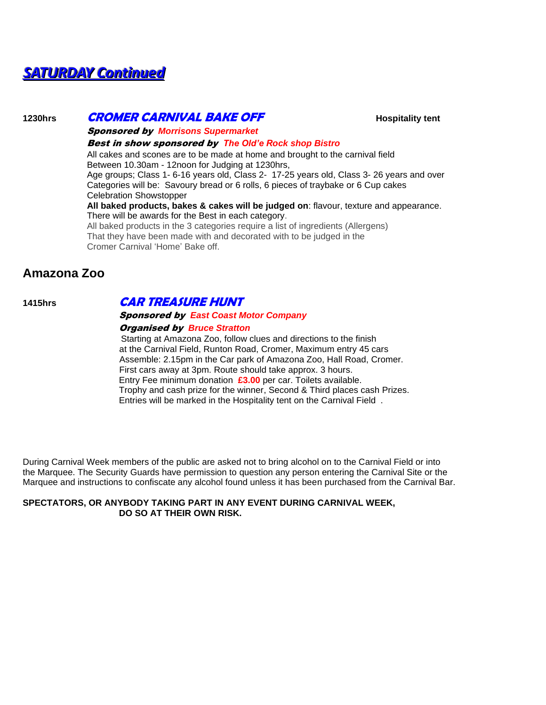# *SATURDAY Continued*

# 1230hrs **CROMER CARNIVAL BAKE OFF BILITIAL BOSES AND A HOSPITALITY TEND**

Sponsored by *Morrisons Supermarket* 

#### Best in show sponsored by *The Old'e Rock shop Bistro*

All cakes and scones are to be made at home and brought to the carnival field Between 10.30am - 12noon for Judging at 1230hrs,

Age groups; Class 1- 6-16 years old, Class 2- 17-25 years old, Class 3- 26 years and over Categories will be: Savoury bread or 6 rolls, 6 pieces of traybake or 6 Cup cakes Celebration Showstopper

#### **All baked products, bakes & cakes will be judged on**: flavour, texture and appearance. There will be awards for the Best in each category.

All baked products in the 3 categories require a list of ingredients (Allergens) That they have been made with and decorated with to be judged in the Cromer Carnival 'Home' Bake off.

# **Amazona Zoo**

# **1415hrs CAR TREASURE HUNT**

#### Sponsored by *East Coast Motor Company*

#### Organised by *Bruce Stratton*

 Starting at Amazona Zoo, follow clues and directions to the finish at the Carnival Field, Runton Road, Cromer, Maximum entry 45 cars Assemble: 2.15pm in the Car park of Amazona Zoo, Hall Road, Cromer. First cars away at 3pm. Route should take approx. 3 hours. Entry Fee minimum donation **£3.00** per car. Toilets available. Trophy and cash prize for the winner, Second & Third places cash Prizes. Entries will be marked in the Hospitality tent on the Carnival Field .

During Carnival Week members of the public are asked not to bring alcohol on to the Carnival Field or into the Marquee. The Security Guards have permission to question any person entering the Carnival Site or the Marquee and instructions to confiscate any alcohol found unless it has been purchased from the Carnival Bar.

#### **SPECTATORS, OR ANYBODY TAKING PART IN ANY EVENT DURING CARNIVAL WEEK, DO SO AT THEIR OWN RISK.**